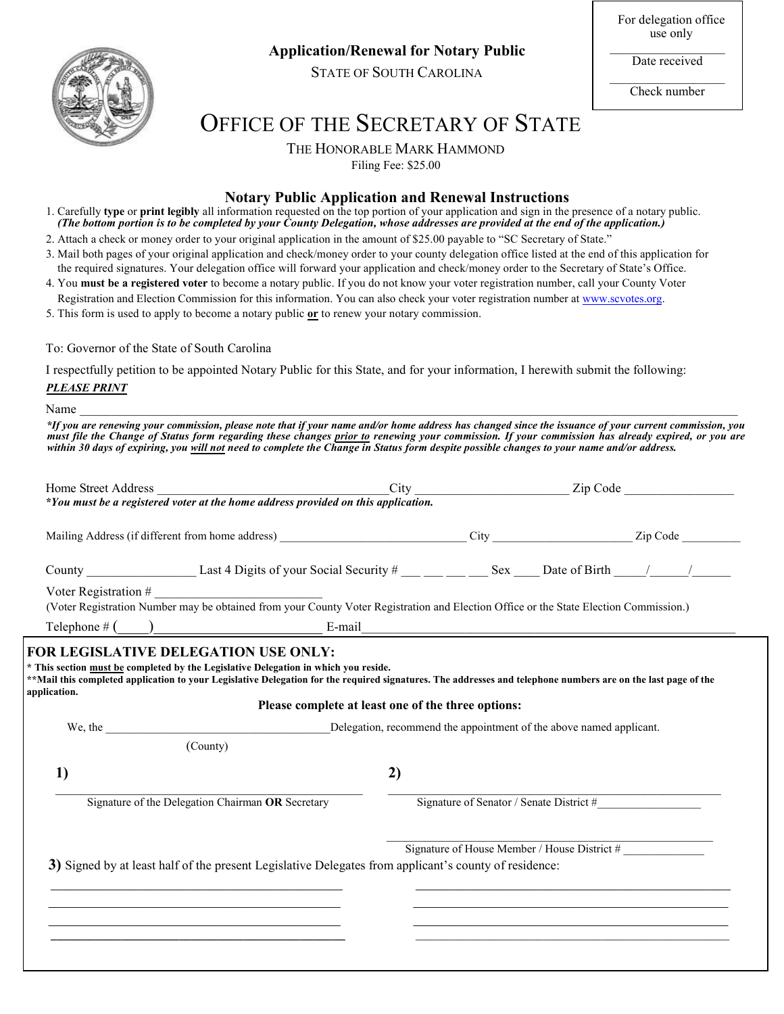

 **Application/Renewal for Notary Public**

STATE OF SOUTH CAROLINA

For delegation office use only

Date received

 $\mathcal{L}_\mathcal{L}$  , where  $\mathcal{L}_\mathcal{L}$  is the set of the set of the set of the set of the set of the set of the set of the set of the set of the set of the set of the set of the set of the set of the set of the set of the Check number

# OFFICE OF THE SECRETARY OF STATE

THE HONORABLE MARK HAMMOND

Filing Fee: \$25.00

# **Notary Public Application and Renewal Instructions**

- 1. Carefully **type** or **print legibly** all information requested on the top portion of your application and sign in the presence of a notary public. *(The bottom portion is to be completed by your County Delegation, whose addresses are provided at the end of the application.)*
- 2. Attach a check or money order to your original application in the amount of \$25.00 payable to "SC Secretary of State."
- 3. Mail both pages of your original application and check/money order to your county delegation office listed at the end of this application for the required signatures. Your delegation office will forward your application and check/money order to the Secretary of State's Office.
- 4. You **must be a registered voter** to become a notary public. If you do not know your voter registration number, call your County Voter Registration and Election Commission for this information. You can also check your voter registration number at www.scvotes.org.
- 5. This form is used to apply to become a notary public **or** to renew your notary commission.

## To: Governor of the State of South Carolina

I respectfully petition to be appointed Notary Public for this State, and for your information, I herewith submit the following: *PLEASE PRINT*

Name  $\Box$ 

*\*If you are renewing your commission, please note that if your name and/or home address has changed since the issuance of your current commission, you must file the Change of Status form regarding these changes prior to renewing your commission. If your commission has already expired, or you are within 30 days of expiring, you will not need to complete the Change in Status form despite possible changes to your name and/or address.*

| Home Street Address                               |                                                                                                                                                                                                                                                                                                            |                                                                     |  |  |  |
|---------------------------------------------------|------------------------------------------------------------------------------------------------------------------------------------------------------------------------------------------------------------------------------------------------------------------------------------------------------------|---------------------------------------------------------------------|--|--|--|
|                                                   |                                                                                                                                                                                                                                                                                                            |                                                                     |  |  |  |
|                                                   |                                                                                                                                                                                                                                                                                                            |                                                                     |  |  |  |
|                                                   | Voter Registration #<br>(Voter Registration Number may be obtained from your County Voter Registration and Election Office or the State Election Commission.)                                                                                                                                              |                                                                     |  |  |  |
|                                                   | Telephone $\#\left(\_\_\_\_\_\_\_\_\_\_\_\$ E-mail E-mail $\_\_\_\_\_\_\_\_\_\_\_\_\_\_\_\_\_\_\_\_\_\_\_$                                                                                                                                                                                                 |                                                                     |  |  |  |
| application.<br>We, the $\qquad \qquad$           | * This section must be completed by the Legislative Delegation in which you reside.<br>**Mail this completed application to your Legislative Delegation for the required signatures. The addresses and telephone numbers are on the last page of the<br>Please complete at least one of the three options: | Delegation, recommend the appointment of the above named applicant. |  |  |  |
|                                                   | (County)                                                                                                                                                                                                                                                                                                   |                                                                     |  |  |  |
| 1)                                                | 2)                                                                                                                                                                                                                                                                                                         |                                                                     |  |  |  |
| Signature of the Delegation Chairman OR Secretary |                                                                                                                                                                                                                                                                                                            | Signature of Senator / Senate District #                            |  |  |  |
|                                                   | 3) Signed by at least half of the present Legislative Delegates from applicant's county of residence:                                                                                                                                                                                                      | Signature of House Member / House District #                        |  |  |  |
|                                                   |                                                                                                                                                                                                                                                                                                            |                                                                     |  |  |  |
|                                                   | <u> 1989 - Johann John Stoff, deutscher Stoffen und der Stoffen und der Stoffen und der Stoffen und der Stoffen u</u>                                                                                                                                                                                      |                                                                     |  |  |  |
|                                                   |                                                                                                                                                                                                                                                                                                            |                                                                     |  |  |  |
|                                                   |                                                                                                                                                                                                                                                                                                            |                                                                     |  |  |  |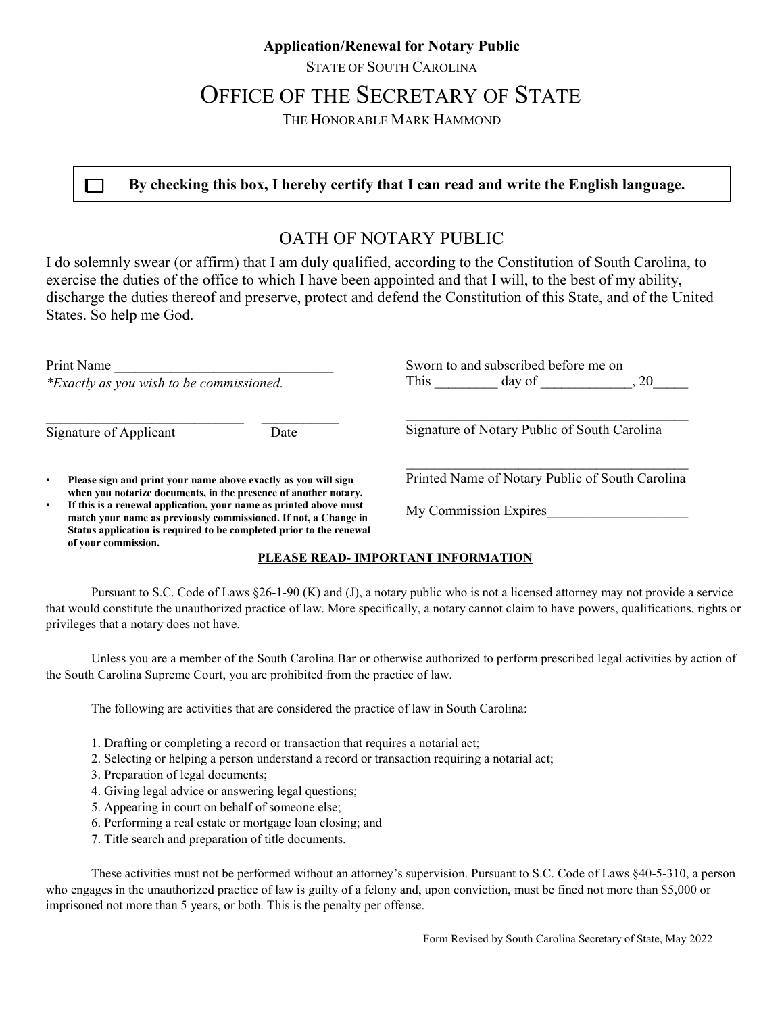# **Application/Renewal for Notary Public**

STATE OF SOUTH CAROLINA

# OFFICE OF THE SECRETARY OF STATE

THE HONORABLE MARK HAMMOND

 $\Box$  By checking this box, I hereby certify that I can read and write the English language.

# OATH OF NOTARY PUBLIC

I do solemnly swear (or affirm) that I am duly qualified, according to the Constitution of South Carolina, to exercise the duties of the office to which I have been appointed and that I will, to the best of my ability, discharge the duties thereof and preserve, protect and defend the Constitution of this State, and of the United States. So help me God.

| Print Name<br>*Exactly as you wish to be commissioned.                                                                                                                                                                                  | Sworn to and subscribed before me on<br>This<br>.20<br>day of |  |  |
|-----------------------------------------------------------------------------------------------------------------------------------------------------------------------------------------------------------------------------------------|---------------------------------------------------------------|--|--|
| Signature of Applicant<br>Date                                                                                                                                                                                                          | Signature of Notary Public of South Carolina                  |  |  |
| Please sign and print your name above exactly as you will sign<br>$\bullet$<br>when you notarize documents, in the presence of another notary.                                                                                          | Printed Name of Notary Public of South Carolina               |  |  |
| If this is a renewal application, your name as printed above must<br>٠<br>match your name as previously commissioned. If not, a Change in<br>Status application is required to be completed prior to the renewal<br>of your commission. | My Commission Expires                                         |  |  |

## **PLEASE READ- IMPORTANT INFORMATION**

Pursuant to S.C. Code of Laws §26-1-90 (K) and (J), a notary public who is not a licensed attorney may not provide a service that would constitute the unauthorized practice of law. More specifically, a notary cannot claim to have powers, qualifications, rights or privileges that a notary does not have.

Unless you are a member of the South Carolina Bar or otherwise authorized to perform prescribed legal activities by action of the South Carolina Supreme Court, you are prohibited from the practice of law.

The following are activities that are considered the practice of law in South Carolina:

- 1. Drafting or completing a record or transaction that requires a notarial act;
- 2. Selecting or helping a person understand a record or transaction requiring a notarial act;
- 3. Preparation of legal documents;
- 4. Giving legal advice or answering legal questions;
- 5. Appearing in court on behalf of someone else;
- 6. Performing a real estate or mortgage loan closing; and
- 7. Title search and preparation of title documents.

These activities must not be performed without an attorney's supervision. Pursuant to S.C. Code of Laws §40-5-310, a person who engages in the unauthorized practice of law is guilty of a felony and, upon conviction, must be fined not more than \$5,000 or imprisoned not more than 5 years, or both. This is the penalty per offense.